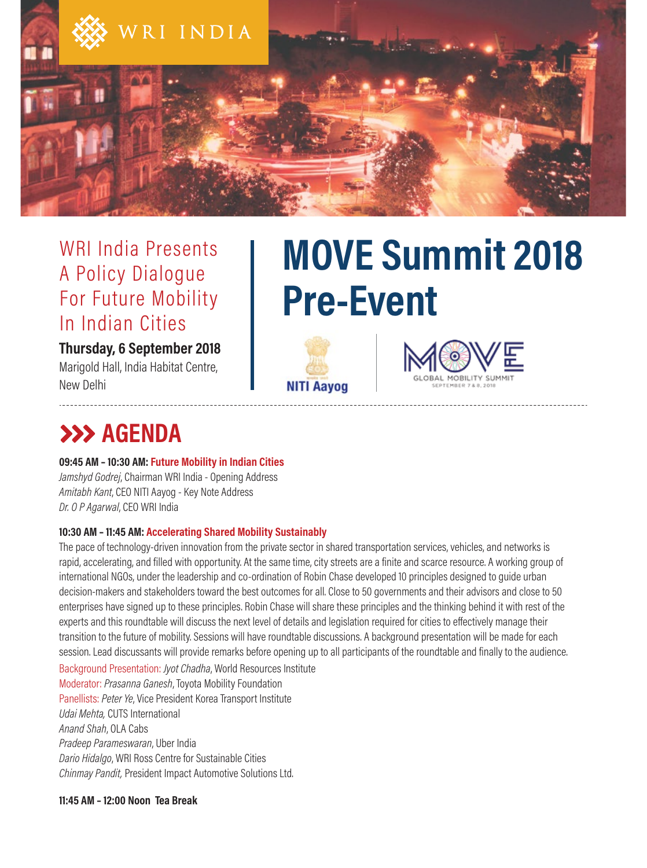

### WRI India Presents A Policy Dialogue For Future Mobility In Indian Cities

#### **Thursday, 6 September 2018** Marigold Hall, India Habitat Centre, New Delhi

# **MOVE Summit 2018 Pre-Event**





## **AGENDA**

**09:45 AM – 10:30 AM: Future Mobility in Indian Cities** 

*Jamshyd Godrej*, Chairman WRI India - Opening Address *Amitabh Kant*, CEO NITI Aayog - Key Note Address *Dr. O P Agarwal*, CEO WRI India

#### **10:30 AM – 11:45 AM: Accelerating Shared Mobility Sustainably**

The pace of technology-driven innovation from the private sector in shared transportation services, vehicles, and networks is rapid, accelerating, and filled with opportunity. At the same time, city streets are a finite and scarce resource. A working group of international NGOs, under the leadership and co-ordination of Robin Chase developed 10 principles designed to guide urban decision-makers and stakeholders toward the best outcomes for all. Close to 50 governments and their advisors and close to 50 enterprises have signed up to these principles. Robin Chase will share these principles and the thinking behind it with rest of the experts and this roundtable will discuss the next level of details and legislation required for cities to effectively manage their transition to the future of mobility. Sessions will have roundtable discussions. A background presentation will be made for each session. Lead discussants will provide remarks before opening up to all participants of the roundtable and finally to the audience.

Background Presentation: *Jyot Chadha*, World Resources Institute Moderator: *Prasanna Ganesh*, Toyota Mobility Foundation Panellists: *Peter Ye*, Vice President Korea Transport Institute *Udai Mehta,* CUTS International *Anand Shah*, OLA Cabs *Pradeep Parameswaran*, Uber India *Dario Hidalgo*, WRI Ross Centre for Sustainable Cities *Chinmay Pandit,* President Impact Automotive Solutions Ltd.

**11:45 AM – 12:00 Noon Tea Break**